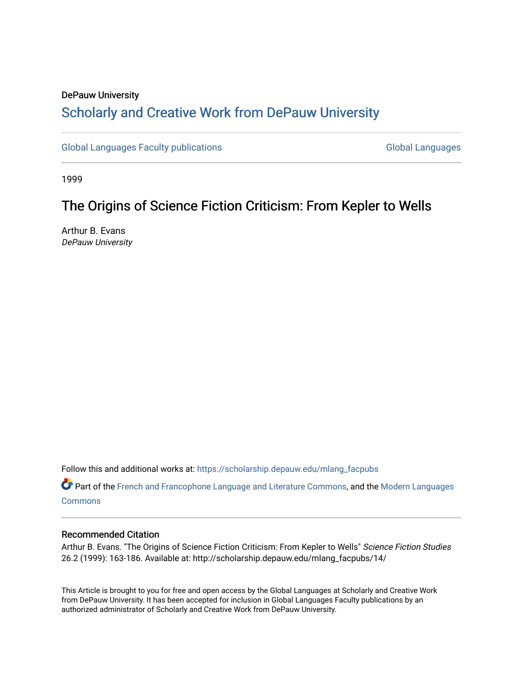## DePauw University Scholarly and [Creative Work from DePauw Univ](https://scholarship.depauw.edu/)ersity

[Global Languages Faculty publications](https://scholarship.depauw.edu/mlang_facpubs) [Global Languages](https://scholarship.depauw.edu/modernlanguages) Global Languages

1999

# The Origins of Science Fiction Criticism: From Kepler to Wells

Arthur B. Evans DePauw University

Follow this and additional works at: [https://scholarship.depauw.edu/mlang\\_facpubs](https://scholarship.depauw.edu/mlang_facpubs?utm_source=scholarship.depauw.edu%2Fmlang_facpubs%2F14&utm_medium=PDF&utm_campaign=PDFCoverPages)

Part of the [French and Francophone Language and Literature Commons,](https://network.bepress.com/hgg/discipline/463?utm_source=scholarship.depauw.edu%2Fmlang_facpubs%2F14&utm_medium=PDF&utm_campaign=PDFCoverPages) and the [Modern Languages](https://network.bepress.com/hgg/discipline/1130?utm_source=scholarship.depauw.edu%2Fmlang_facpubs%2F14&utm_medium=PDF&utm_campaign=PDFCoverPages)  **[Commons](https://network.bepress.com/hgg/discipline/1130?utm_source=scholarship.depauw.edu%2Fmlang_facpubs%2F14&utm_medium=PDF&utm_campaign=PDFCoverPages)** 

## Recommended Citation

Arthur B. Evans. "The Origins of Science Fiction Criticism: From Kepler to Wells" Science Fiction Studies 26.2 (1999): 163-186. Available at: http://scholarship.depauw.edu/mlang\_facpubs/14/

This Article is brought to you for free and open access by the Global Languages at Scholarly and Creative Work from DePauw University. It has been accepted for inclusion in Global Languages Faculty publications by an authorized administrator of Scholarly and Creative Work from DePauw University.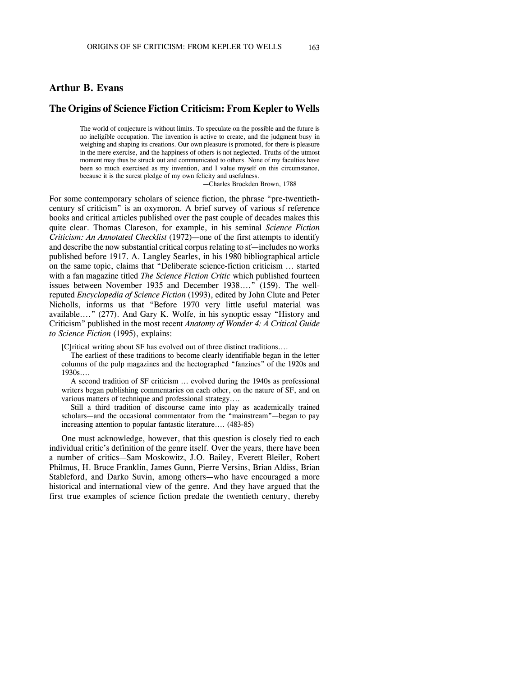## **Arthur B. Evans**

#### **The Origins of Science Fiction Criticism: From Kepler to Wells**

The world of conjecture is without limits. To speculate on the possible and the future is no ineligible occupation. The invention is active to create, and the judgment busy in weighing and shaping its creations. Our own pleasure is promoted, for there is pleasure in the mere exercise, and the happiness of others is not neglected. Truths of the utmost moment may thus be struck out and communicated to others. None of my faculties have been so much exercised as my invention, and I value myself on this circumstance, because it is the surest pledge of my own felicity and usefulness.

—Charles Brockden Brown, 1788

For some contemporary scholars of science fiction, the phrase "pre-twentiethcentury sf criticism" is an oxymoron. A brief survey of various sf reference books and critical articles published over the past couple of decades makes this quite clear. Thomas Clareson, for example, in his seminal *Science Fiction Criticism: An Annotated Checklist* (1972)—one of the first attempts to identify and describe the now substantial critical corpus relating to sf—includes no works published before 1917. A. Langley Searles, in his 1980 bibliographical article on the same topic, claims that "Deliberate science-fiction criticism ... started with a fan magazine titled *The Science Fiction Critic* which published fourteen issues between November 1935 and December 1938...." (159). The wellreputed *Encyclopedia of Science Fiction* (1993), edited by John Clute and Peter Nicholls, informs us that "Before 1970 very little useful material was available...." (277). And Gary K. Wolfe, in his synoptic essay "History and Criticism" published in the most recent *Anatomy of Wonder 4: A Critical Guide to Science Fiction* (1995), explains:

[C]ritical writing about SF has evolved out of three distinct traditions....

The earliest of these traditions to become clearly identifiable began in the letter columns of the pulp magazines and the hectographed "fanzines" of the 1920s and 1930s....

A second tradition of SF criticism ... evolved during the 1940s as professional writers began publishing commentaries on each other, on the nature of SF, and on various matters of technique and professional strategy....

Still a third tradition of discourse came into play as academically trained scholars—and the occasional commentator from the "mainstream"—began to pay increasing attention to popular fantastic literature.... (483-85)

One must acknowledge, however, that this question is closely tied to each individual critic's definition of the genre itself. Over the years, there have been a number of critics—Sam Moskowitz, J.O. Bailey, Everett Bleiler, Robert Philmus, H. Bruce Franklin, James Gunn, Pierre Versins, Brian Aldiss, Brian Stableford, and Darko Suvin, among others—who have encouraged a more historical and international view of the genre. And they have argued that the first true examples of science fiction predate the twentieth century, thereby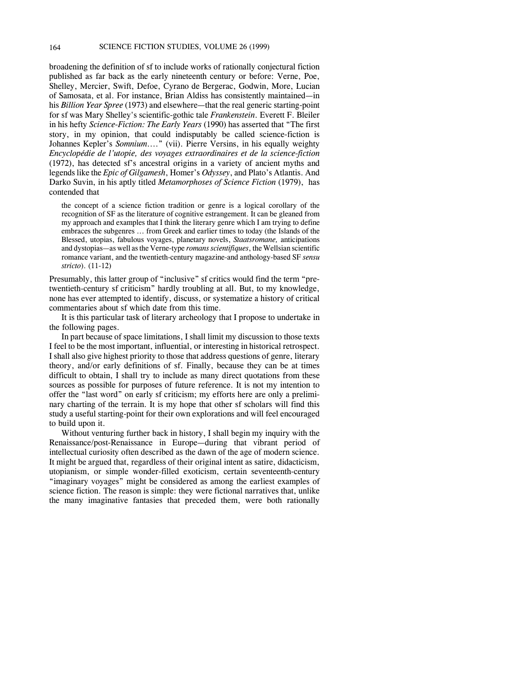broadening the definition of sf to include works of rationally conjectural fiction published as far back as the early nineteenth century or before: Verne, Poe, Shelley, Mercier, Swift, Defoe, Cyrano de Bergerac, Godwin, More, Lucian of Samosata, et al. For instance, Brian Aldiss has consistently maintained—in his *Billion Year Spree* (1973) and elsewhere—that the real generic starting-point for sf was Mary Shelley's scientific-gothic tale *Frankenstein*. Everett F. Bleiler in his hefty *Science-Fiction: The Early Years* (1990) has asserted that "The first story, in my opinion, that could indisputably be called science-fiction is Johannes Kepler's *Somnium*...." (vii). Pierre Versins, in his equally weighty *Encyclopédie de l'utopie, des voyages extraordinaires et de la science-fiction* (1972), has detected sf's ancestral origins in a variety of ancient myths and legends like the *Epic of Gilgamesh*, Homer's *Odyssey*, and Plato's Atlantis. And Darko Suvin, in his aptly titled *Metamorphoses of Science Fiction* (1979), has contended that

the concept of a science fiction tradition or genre is a logical corollary of the recognition of SF as the literature of cognitive estrangement. It can be gleaned from my approach and examples that I think the literary genre which I am trying to define embraces the subgenres ... from Greek and earlier times to today (the Islands of the Blessed, utopias, fabulous voyages, planetary novels, *Staatsromane,* anticipations and dystopias—as well as the Verne-type *romans scientifiques*, the Wellsian scientific romance variant, and the twentieth-century magazine-and anthology-based SF *sensu stricto*). (11-12)

Presumably, this latter group of "inclusive" sf critics would find the term "pretwentieth-century sf criticism" hardly troubling at all. But, to my knowledge, none has ever attempted to identify, discuss, or systematize a history of critical commentaries about sf which date from this time.

It is this particular task of literary archeology that I propose to undertake in the following pages.

In part because of space limitations, I shall limit my discussion to those texts I feel to be the most important, influential, or interesting in historical retrospect. I shall also give highest priority to those that address questions of genre, literary theory, and/or early definitions of sf. Finally, because they can be at times difficult to obtain, I shall try to include as many direct quotations from these sources as possible for purposes of future reference. It is not my intention to offer the "last word" on early sf criticism; my efforts here are only a preliminary charting of the terrain. It is my hope that other sf scholars will find this study a useful starting-point for their own explorations and will feel encouraged to build upon it.

Without venturing further back in history, I shall begin my inquiry with the Renaissance/post-Renaissance in Europe—during that vibrant period of intellectual curiosity often described as the dawn of the age of modern science. It might be argued that, regardless of their original intent as satire, didacticism, utopianism, or simple wonder-filled exoticism, certain seventeenth-century "imaginary voyages" might be considered as among the earliest examples of science fiction. The reason is simple: they were fictional narratives that, unlike the many imaginative fantasies that preceded them, were both rationally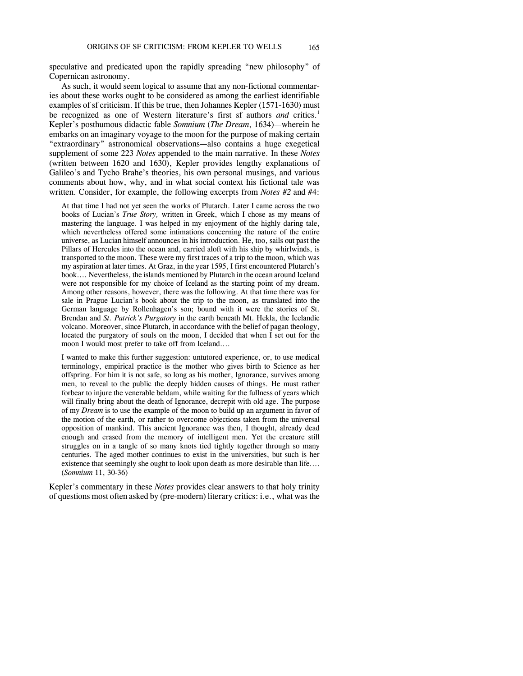speculative and predicated upon the rapidly spreading "new philosophy" of Copernican astronomy.

As such, it would seem logical to assume that any non-fictional commentaries about these works ought to be considered as among the earliest identifiable examples of sf criticism. If this be true, then Johannes Kepler (1571-1630) must be recognized as one of Western literature's first sf authors *and* critics.<sup>1</sup> Kepler's posthumous didactic fable *Somnium* (*The Dream*, 1634)—wherein he embarks on an imaginary voyage to the moon for the purpose of making certain "extraordinary" astronomical observations—also contains a huge exegetical supplement of some 223 *Notes* appended to the main narrative. In these *Notes* (written between 1620 and 1630), Kepler provides lengthy explanations of Galileo's and Tycho Brahe's theories, his own personal musings, and various comments about how, why, and in what social context his fictional tale was written. Consider, for example, the following excerpts from *Notes #2* and #4:

At that time I had not yet seen the works of Plutarch. Later I came across the two books of Lucian's *True Story,* written in Greek, which I chose as my means of mastering the language. I was helped in my enjoyment of the highly daring tale, which nevertheless offered some intimations concerning the nature of the entire universe, as Lucian himself announces in his introduction. He, too, sails out past the Pillars of Hercules into the ocean and, carried aloft with his ship by whirlwinds, is transported to the moon. These were my first traces of a trip to the moon, which was my aspiration at later times. At Graz, in the year 1595, I first encountered Plutarch's book.... Nevertheless, the islands mentioned by Plutarch in the ocean around Iceland were not responsible for my choice of Iceland as the starting point of my dream. Among other reasons, however, there was the following. At that time there was for sale in Prague Lucian's book about the trip to the moon, as translated into the German language by Rollenhagen's son; bound with it were the stories of St. Brendan and *St. Patrick's Purgatory* in the earth beneath Mt. Hekla, the Icelandic volcano. Moreover, since Plutarch, in accordance with the belief of pagan theology, located the purgatory of souls on the moon, I decided that when I set out for the moon I would most prefer to take off from Iceland....

I wanted to make this further suggestion: untutored experience, or, to use medical terminology, empirical practice is the mother who gives birth to Science as her offspring. For him it is not safe, so long as his mother, Ignorance, survives among men, to reveal to the public the deeply hidden causes of things. He must rather forbear to injure the venerable beldam, while waiting for the fullness of years which will finally bring about the death of Ignorance, decrepit with old age. The purpose of my *Dream* is to use the example of the moon to build up an argument in favor of the motion of the earth, or rather to overcome objections taken from the universal opposition of mankind. This ancient Ignorance was then, I thought, already dead enough and erased from the memory of intelligent men. Yet the creature still struggles on in a tangle of so many knots tied tightly together through so many centuries. The aged mother continues to exist in the universities, but such is her existence that seemingly she ought to look upon death as more desirable than life.... (*Somnium* 11, 30-36)

Kepler's commentary in these *Notes* provides clear answers to that holy trinity of questions most often asked by (pre-modern) literary critics: i.e., what was the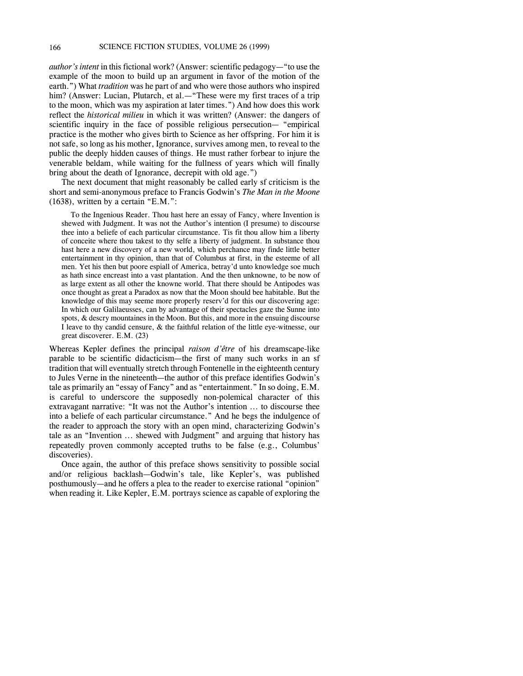*author's intent* in this fictional work? (Answer: scientific pedagogy—"to use the example of the moon to build up an argument in favor of the motion of the earth.") What *tradition* was he part of and who were those authors who inspired him? (Answer: Lucian, Plutarch, et al.—"These were my first traces of a trip to the moon, which was my aspiration at later times.") And how does this work reflect the *historical milieu* in which it was written? (Answer: the dangers of scientific inquiry in the face of possible religious persecution— "empirical practice is the mother who gives birth to Science as her offspring. For him it is not safe, so long as his mother, Ignorance, survives among men, to reveal to the public the deeply hidden causes of things. He must rather forbear to injure the venerable beldam, while waiting for the fullness of years which will finally bring about the death of Ignorance, decrepit with old age.")

The next document that might reasonably be called early sf criticism is the short and semi-anonymous preface to Francis Godwin's *The Man in the Moone* (1638), written by a certain "E.M.":

To the Ingenious Reader. Thou hast here an essay of Fancy, where Invention is shewed with Judgment. It was not the Author's intention (I presume) to discourse thee into a beliefe of each particular circumstance. Tis fit thou allow him a liberty of conceite where thou takest to thy selfe a liberty of judgment. In substance thou hast here a new discovery of a new world, which perchance may finde little better entertainment in thy opinion, than that of Columbus at first, in the esteeme of all men. Yet his then but poore espiall of America, betray'd unto knowledge soe much as hath since encreast into a vast plantation. And the then unknowne, to be now of as large extent as all other the knowne world. That there should be Antipodes was once thought as great a Paradox as now that the Moon should bee habitable. But the knowledge of this may seeme more properly reserv'd for this our discovering age: In which our Galilaeusses, can by advantage of their spectacles gaze the Sunne into spots, & descry mountaines in the Moon. But this, and more in the ensuing discourse I leave to thy candid censure, & the faithful relation of the little eye-witnesse, our great discoverer. E.M. (23)

Whereas Kepler defines the principal *raison d'être* of his dreamscape-like parable to be scientific didacticism—the first of many such works in an sf tradition that will eventually stretch through Fontenelle in the eighteenth century to Jules Verne in the nineteenth—the author of this preface identifies Godwin's tale as primarily an "essay of Fancy" and as "entertainment." In so doing, E.M. is careful to underscore the supposedly non-polemical character of this extravagant narrative: "It was not the Author's intention ... to discourse thee into a beliefe of each particular circumstance." And he begs the indulgence of the reader to approach the story with an open mind, characterizing Godwin's tale as an "Invention ... shewed with Judgment" and arguing that history has repeatedly proven commonly accepted truths to be false (e.g., Columbus' discoveries).

Once again, the author of this preface shows sensitivity to possible social and/or religious backlash—Godwin's tale, like Kepler's, was published posthumously—and he offers a plea to the reader to exercise rational "opinion" when reading it. Like Kepler, E.M. portrays science as capable of exploring the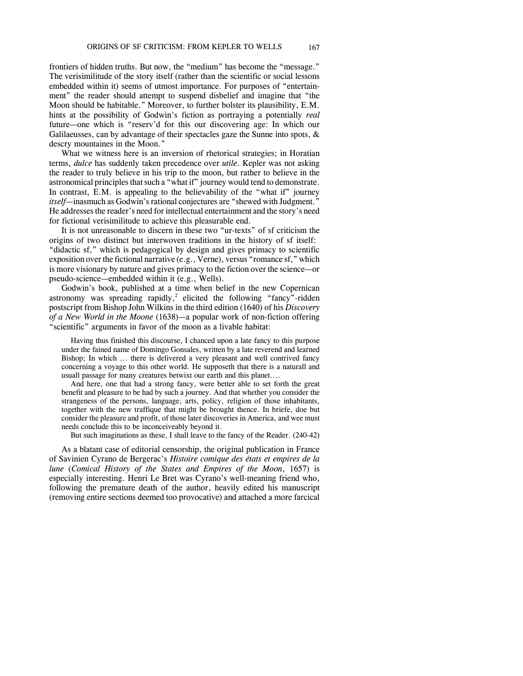frontiers of hidden truths. But now, the "medium" has become the "message." The verisimilitude of the story itself (rather than the scientific or social lessons embedded within it) seems of utmost importance. For purposes of "entertainment" the reader should attempt to suspend disbelief and imagine that "the Moon should be habitable." Moreover, to further bolster its plausibility, E.M. hints at the possibility of Godwin's fiction as portraying a potentially *real* future—one which is "reserv'd for this our discovering age: In which our Galilaeusses, can by advantage of their spectacles gaze the Sunne into spots, & descry mountaines in the Moon."

What we witness here is an inversion of rhetorical strategies; in Horatian terms, *dulce* has suddenly taken precedence over *utile*. Kepler was not asking the reader to truly believe in his trip to the moon, but rather to believe in the astronomical principles that such a "what if" journey would tend to demonstrate. In contrast, E.M. is appealing to the believability of the "what if" journey *itself*—inasmuch as Godwin's rational conjectures are "shewed with Judgment." He addresses the reader's need for intellectual entertainment and the story's need for fictional verisimilitude to achieve this pleasurable end.

It is not unreasonable to discern in these two "ur-texts" of sf criticism the origins of two distinct but interwoven traditions in the history of sf itself: "didactic sf," which is pedagogical by design and gives primacy to scientific exposition over the fictional narrative (e.g., Verne), versus "romance sf," which is more visionary by nature and gives primacy to the fiction over the science—or pseudo-science—embedded within it (e.g., Wells).

Godwin's book, published at a time when belief in the new Copernican astronomy was spreading rapidly,<sup>2</sup> elicited the following "fancy"-ridden postscript from Bishop John Wilkins in the third edition (1640) of his *Discovery of a New World in the Moone* (1638)—a popular work of non-fiction offering "scientific" arguments in favor of the moon as a livable habitat:

Having thus finished this discourse, I chanced upon a late fancy to this purpose under the fained name of Domingo Gonsales, written by a late reverend and learned Bishop; In which ... there is delivered a very pleasant and well contrived fancy concerning a voyage to this other world. He supposeth that there is a naturall and usuall passage for many creatures betwixt our earth and this planet....

And here, one that had a strong fancy, were better able to set forth the great benefit and pleasure to be had by such a journey. And that whether you consider the strangeness of the persons, language, arts, policy, religion of those inhabitants, together with the new traffique that might be brought thence. In briefe, doe but consider the pleasure and profit, of those later discoveries in America, and wee must needs conclude this to be inconceiveably beyond it.

But such imaginations as these, I shall leave to the fancy of the Reader. (240-42)

As a blatant case of editorial censorship, the original publication in France of Savinien Cyrano de Bergerac's *Histoire comique des états et empires de la lune* (*Comical History of the States and Empires of the Moon*, 1657) is especially interesting. Henri Le Bret was Cyrano's well-meaning friend who, following the premature death of the author, heavily edited his manuscript (removing entire sections deemed too provocative) and attached a more farcical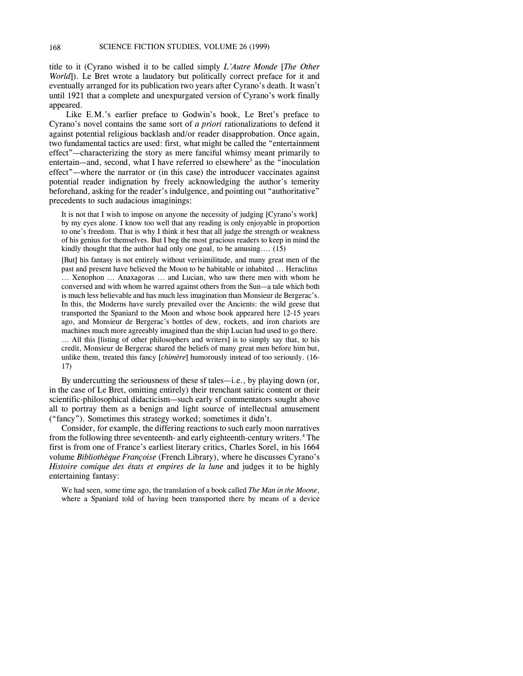title to it (Cyrano wished it to be called simply *L'Autre Monde* [*The Other World*]). Le Bret wrote a laudatory but politically correct preface for it and eventually arranged for its publication two years after Cyrano's death. It wasn't until 1921 that a complete and unexpurgated version of Cyrano's work finally appeared.

 Like E.M.'s earlier preface to Godwin's book, Le Bret's preface to Cyrano's novel contains the same sort of *a priori* rationalizations to defend it against potential religious backlash and/or reader disapprobation. Once again, two fundamental tactics are used: first, what might be called the "entertainment effect"—characterizing the story as mere fanciful whimsy meant primarily to entertain—and, second, what I have referred to elsewhere<sup>3</sup> as the "inoculation effect"—where the narrator or (in this case) the introducer vaccinates against potential reader indignation by freely acknowledging the author's temerity beforehand, asking for the reader's indulgence, and pointing out "authoritative" precedents to such audacious imaginings:

It is not that I wish to impose on anyone the necessity of judging [Cyrano's work] by my eyes alone. I know too well that any reading is only enjoyable in proportion to one's freedom. That is why I think it best that all judge the strength or weakness of his genius for themselves. But I beg the most gracious readers to keep in mind the kindly thought that the author had only one goal, to be amusing....  $(15)$ 

[But] his fantasy is not entirely without verisimilitude, and many great men of the past and present have believed the Moon to be habitable or inhabited ... Heraclitus ... Xenophon ... Anaxagoras ... and Lucian, who saw there men with whom he conversed and with whom he warred against others from the Sun—a tale which both is much less believable and has much less imagination than Monsieur de Bergerac's. In this, the Moderns have surely prevailed over the Ancients: the wild geese that transported the Spaniard to the Moon and whose book appeared here 12-15 years ago, and Monsieur de Bergerac's bottles of dew, rockets, and iron chariots are machines much more agreeably imagined than the ship Lucian had used to go there. ... All this [listing of other philosophers and writers] is to simply say that, to his credit, Monsieur de Bergerac shared the beliefs of many great men before him but, unlike them, treated this fancy [*chimère*] humorously instead of too seriously. (16- 17)

By undercutting the seriousness of these sf tales—i.e., by playing down (or, in the case of Le Bret, omitting entirely) their trenchant satiric content or their scientific-philosophical didacticism—such early sf commentators sought above all to portray them as a benign and light source of intellectual amusement ("fancy"). Sometimes this strategy worked; sometimes it didn't.

Consider, for example, the differing reactions to such early moon narratives from the following three seventeenth- and early eighteenth-century writers.<sup>4</sup> The first is from one of France's earliest literary critics, Charles Sorel, in his 1664 volume *Bibliothèque Françoise* (French Library), where he discusses Cyrano's *Histoire comique des états et empires de la lune* and judges it to be highly entertaining fantasy:

We had seen, some time ago, the translation of a book called *The Man in the Moone*, where a Spaniard told of having been transported there by means of a device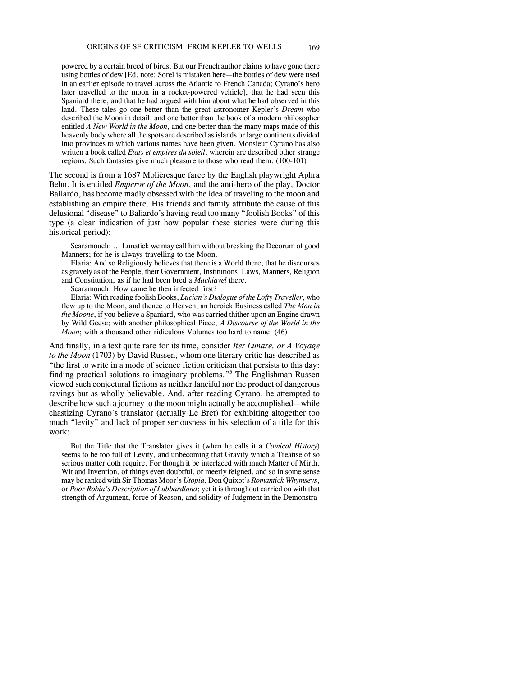powered by a certain breed of birds. But our French author claims to have gone there using bottles of dew [Ed. note: Sorel is mistaken here—the bottles of dew were used in an earlier episode to travel across the Atlantic to French Canada; Cyrano's hero later travelled to the moon in a rocket-powered vehicle], that he had seen this Spaniard there, and that he had argued with him about what he had observed in this land. These tales go one better than the great astronomer Kepler's *Dream* who described the Moon in detail, and one better than the book of a modern philosopher entitled *A New World in the Moon*, and one better than the many maps made of this heavenly body where all the spots are described as islands or large continents divided into provinces to which various names have been given. Monsieur Cyrano has also written a book called *Etats et empires du soleil*, wherein are described other strange regions. Such fantasies give much pleasure to those who read them. (100-101)

The second is from a 1687 Molièresque farce by the English playwright Aphra Behn. It is entitled *Emperor of the Moon*, and the anti-hero of the play, Doctor Baliardo, has become madly obsessed with the idea of traveling to the moon and establishing an empire there. His friends and family attribute the cause of this delusional "disease" to Baliardo's having read too many "foolish Books" of this type (a clear indication of just how popular these stories were during this historical period):

Scaramouch: ... Lunatick we may call him without breaking the Decorum of good Manners; for he is always travelling to the Moon.

Elaria: And so Religiously believes that there is a World there, that he discourses as gravely as of the People, their Government, Institutions, Laws, Manners, Religion and Constitution, as if he had been bred a *Machiavel* there.

Scaramouch: How came he then infected first?

Elaria: With reading foolish Books, *Lucian's Dialogue of the Lofty Traveller*, who flew up to the Moon, and thence to Heaven; an heroick Business called *The Man in the Moone*, if you believe a Spaniard, who was carried thither upon an Engine drawn by Wild Geese; with another philosophical Piece, *A Discourse of the World in the Moon*; with a thousand other ridiculous Volumes too hard to name. (46)

And finally, in a text quite rare for its time, consider *Iter Lunare, or A Voyage to the Moon* (1703) by David Russen, whom one literary critic has described as "the first to write in a mode of science fiction criticism that persists to this day: finding practical solutions to imaginary problems."<sup>5</sup> The Englishman Russen viewed such conjectural fictions as neither fanciful nor the product of dangerous ravings but as wholly believable. And, after reading Cyrano, he attempted to describe how such a journey to the moon might actually be accomplished—while chastizing Cyrano's translator (actually Le Bret) for exhibiting altogether too much "levity" and lack of proper seriousness in his selection of a title for this work:

But the Title that the Translator gives it (when he calls it a *Comical History*) seems to be too full of Levity, and unbecoming that Gravity which a Treatise of so serious matter doth require. For though it be interlaced with much Matter of Mirth, Wit and Invention, of things even doubtful, or meerly feigned, and so in some sense may be ranked with Sir Thomas Moor's *Utopia*, Don Quixot's *Romantick Whymseys*, or *Poor Robin's Description of Lubbardland*; yet it is throughout carried on with that strength of Argument, force of Reason, and solidity of Judgment in the Demonstra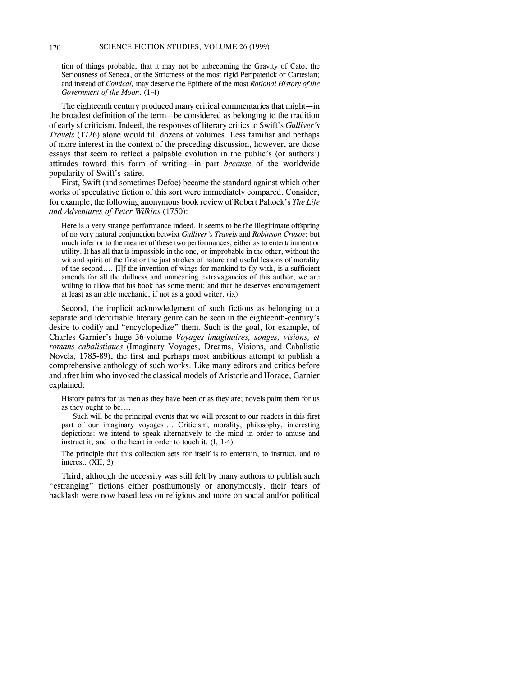tion of things probable, that it may not be unbecoming the Gravity of Cato, the Seriousness of Seneca, or the Strictness of the most rigid Peripatetick or Cartesian; and instead of *Comical,* may deserve the Epithete of the most *Rational History of the Government of the Moon*. (1-4)

The eighteenth century produced many critical commentaries that might—in the broadest definition of the term—be considered as belonging to the tradition of early sf criticism. Indeed, the responses of literary critics to Swift's *Gulliver's Travels* (1726) alone would fill dozens of volumes. Less familiar and perhaps of more interest in the context of the preceding discussion, however, are those essays that seem to reflect a palpable evolution in the public's (or authors') attitudes toward this form of writing—in part *because* of the worldwide popularity of Swift's satire.

First, Swift (and sometimes Defoe) became the standard against which other works of speculative fiction of this sort were immediately compared. Consider, for example, the following anonymous book review of Robert Paltock's *The Life and Adventures of Peter Wilkins* (1750):

Here is a very strange performance indeed. It seems to be the illegitimate offspring of no very natural conjunction betwixt *Gulliver's Travels* and *Robinson Crusoe*; but much inferior to the meaner of these two performances, either as to entertainment or utility. It has all that is impossible in the one, or improbable in the other, without the wit and spirit of the first or the just strokes of nature and useful lessons of morality of the second.... [I]f the invention of wings for mankind to fly with, is a sufficient amends for all the dullness and unmeaning extravagancies of this author, we are willing to allow that his book has some merit; and that he deserves encouragement at least as an able mechanic, if not as a good writer. (ix)

Second, the implicit acknowledgment of such fictions as belonging to a separate and identifiable literary genre can be seen in the eighteenth-century's desire to codify and "encyclopedize" them. Such is the goal, for example, of Charles Garnier's huge 36-volume *Voyages imaginaires, songes, visions, et romans cabalistiques* (Imaginary Voyages, Dreams, Visions, and Cabalistic Novels, 1785-89), the first and perhaps most ambitious attempt to publish a comprehensive anthology of such works. Like many editors and critics before and after him who invoked the classical models of Aristotle and Horace, Garnier explained:

History paints for us men as they have been or as they are; novels paint them for us as they ought to be....

 Such will be the principal events that we will present to our readers in this first part of our imaginary voyages.... Criticism, morality, philosophy, interesting depictions: we intend to speak alternatively to the mind in order to amuse and instruct it, and to the heart in order to touch it.  $(I, 1-4)$ 

The principle that this collection sets for itself is to entertain, to instruct, and to interest. (XII, 3)

Third, although the necessity was still felt by many authors to publish such "estranging" fictions either posthumously or anonymously, their fears of backlash were now based less on religious and more on social and/or political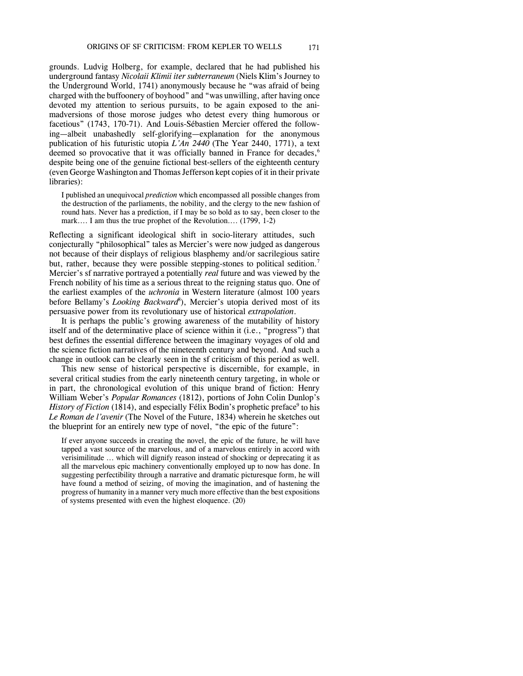grounds. Ludvig Holberg, for example, declared that he had published his underground fantasy *Nicolaii Klimii iter subterraneum* (Niels Klim's Journey to the Underground World, 1741) anonymously because he "was afraid of being charged with the buffoonery of boyhood" and "was unwilling, after having once devoted my attention to serious pursuits, to be again exposed to the animadversions of those morose judges who detest every thing humorous or facetious" (1743, 170-71). And Louis-Sébastien Mercier offered the following—albeit unabashedly self-glorifying—explanation for the anonymous publication of his futuristic utopia *L'An 2440* (The Year 2440, 1771), a text deemed so provocative that it was officially banned in France for decades,<sup>6</sup> despite being one of the genuine fictional best-sellers of the eighteenth century (even George Washington and Thomas Jefferson kept copies of it in their private libraries):

I published an unequivocal *prediction* which encompassed all possible changes from the destruction of the parliaments, the nobility, and the clergy to the new fashion of round hats. Never has a prediction, if I may be so bold as to say, been closer to the mark.... I am thus the true prophet of the Revolution.... (1799, 1-2)

Reflecting a significant ideological shift in socio-literary attitudes, such conjecturally "philosophical" tales as Mercier's were now judged as dangerous not because of their displays of religious blasphemy and/or sacrilegious satire but, rather, because they were possible stepping-stones to political sedition.<sup>7</sup> Mercier's sf narrative portrayed a potentially *real* future and was viewed by the French nobility of his time as a serious threat to the reigning status quo. One of the earliest examples of the *uchronia* in Western literature (almost 100 years before Bellamy's *Looking Backward*<sup>8</sup>), Mercier's utopia derived most of its persuasive power from its revolutionary use of historical *extrapolation*.

It is perhaps the public's growing awareness of the mutability of history itself and of the determinative place of science within it (i.e., "progress") that best defines the essential difference between the imaginary voyages of old and the science fiction narratives of the nineteenth century and beyond. And such a change in outlook can be clearly seen in the sf criticism of this period as well.

This new sense of historical perspective is discernible, for example, in several critical studies from the early nineteenth century targeting, in whole or in part, the chronological evolution of this unique brand of fiction: Henry William Weber's *Popular Romances* (1812), portions of John Colin Dunlop's History of Fiction (1814), and especially Félix Bodin's prophetic preface<sup>9</sup> to his *Le Roman de l'avenir* (The Novel of the Future, 1834) wherein he sketches out the blueprint for an entirely new type of novel, "the epic of the future":

If ever anyone succeeds in creating the novel, the epic of the future, he will have tapped a vast source of the marvelous, and of a marvelous entirely in accord with verisimilitude ... which will dignify reason instead of shocking or deprecating it as all the marvelous epic machinery conventionally employed up to now has done. In suggesting perfectibility through a narrative and dramatic picturesque form, he will have found a method of seizing, of moving the imagination, and of hastening the progress of humanity in a manner very much more effective than the best expositions of systems presented with even the highest eloquence. (20)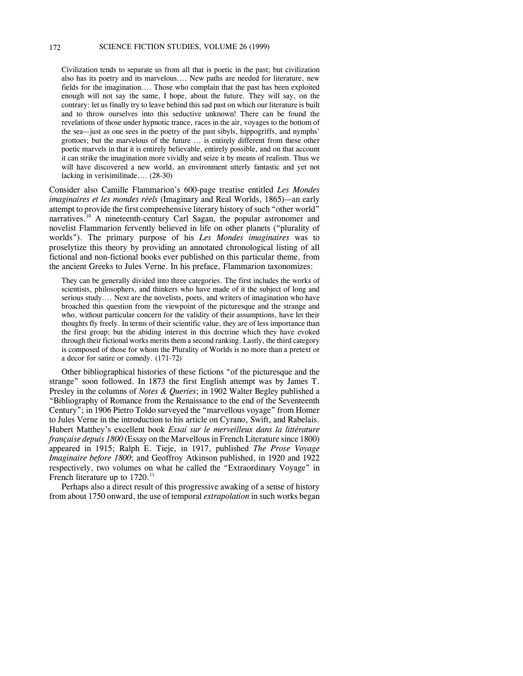Civilization tends to separate us from all that is poetic in the past; but civilization also has its poetry and its marvelous.... New paths are needed for literature, new fields for the imagination.... Those who complain that the past has been exploited enough will not say the same, I hope, about the future. They will say, on the contrary: let us finally try to leave behind this sad past on which our literature is built and to throw ourselves into this seductive unknown! There can be found the revelations of those under hypnotic trance, races in the air, voyages to the bottom of the sea—just as one sees in the poetry of the past sibyls, hippogriffs, and nymphs' grottoes; but the marvelous of the future ... is entirely different from these other poetic marvels in that it is entirely believable, entirely possible, and on that account it can strike the imagination more vividly and seize it by means of realism. Thus we will have discovered a new world, an environment utterly fantastic and yet not lacking in verisimilitude.... (28-30)

Consider also Camille Flammarion's 600-page treatise entitled *Les Mondes imaginaires et les mondes réels* (Imaginary and Real Worlds, 1865)—an early attempt to provide the first comprehensive literary history of such "other world" narratives.<sup>10</sup> A nineteenth-century Carl Sagan, the popular astronomer and novelist Flammarion fervently believed in life on other planets ("plurality of worlds"). The primary purpose of his *Les Mondes imaginaires* was to proselytize this theory by providing an annotated chronological listing of all fictional and non-fictional books ever published on this particular theme, from the ancient Greeks to Jules Verne. In his preface, Flammarion taxonomizes:

They can be generally divided into three categories. The first includes the works of scientists, philosophers, and thinkers who have made of it the subject of long and serious study.... Next are the novelists, poets, and writers of imagination who have broached this question from the viewpoint of the picturesque and the strange and who, without particular concern for the validity of their assumptions, have let their thoughts fly freely. In terms of their scientific value, they are of less importance than the first group; but the abiding interest in this doctrine which they have evoked through their fictional works merits them a second ranking. Lastly, the third category is composed of those for whom the Plurality of Worlds is no more than a pretext or a decor for satire or comedy. (171-72)

Other bibliographical histories of these fictions "of the picturesque and the strange" soon followed. In 1873 the first English attempt was by James T. Presley in the columns of *Notes & Queries*; in 1902 Walter Begley published a "Bibliography of Romance from the Renaissance to the end of the Seventeenth Century"; in 1906 Pietro Toldo surveyed the "marvellous voyage" from Homer to Jules Verne in the introduction to his article on Cyrano, Swift, and Rabelais. Hubert Matthey's excellent book *Essai sur le merveilleux dans la littérature française depuis 1800* (Essay on the Marvellous in French Literature since 1800) appeared in 1915; Ralph E. Tieje, in 1917, published *The Prose Voyage Imaginaire before 1800*; and Geoffroy Atkinson published, in 1920 and 1922 respectively, two volumes on what he called the "Extraordinary Voyage" in French literature up to 1720.<sup>11</sup>

Perhaps also a direct result of this progressive awaking of a sense of history from about 1750 onward, the use of temporal *extrapolation* in such works began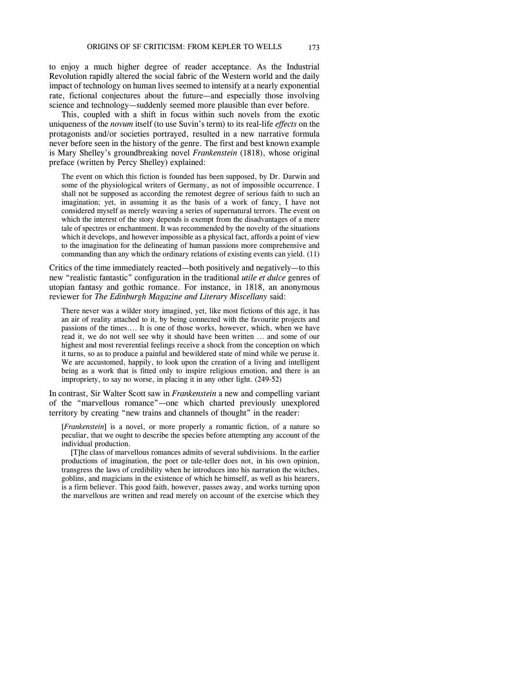to enjoy a much higher degree of reader acceptance. As the Industrial Revolution rapidly altered the social fabric of the Western world and the daily impact of technology on human lives seemed to intensify at a nearly exponential rate, fictional conjectures about the future—and especially those involving science and technology—suddenly seemed more plausible than ever before.

This, coupled with a shift in focus within such novels from the exotic uniqueness of the *novum* itself (to use Suvin's term) to its real-life *effects* on the protagonists and/or societies portrayed, resulted in a new narrative formula never before seen in the history of the genre. The first and best known example is Mary Shelley's groundbreaking novel *Frankenstein* (1818), whose original preface (written by Percy Shelley) explained:

The event on which this fiction is founded has been supposed, by Dr. Darwin and some of the physiological writers of Germany, as not of impossible occurrence. I shall not be supposed as according the remotest degree of serious faith to such an imagination; yet, in assuming it as the basis of a work of fancy, I have not considered myself as merely weaving a series of supernatural terrors. The event on which the interest of the story depends is exempt from the disadvantages of a mere tale of spectres or enchantment. It was recommended by the novelty of the situations which it develops, and however impossible as a physical fact, affords a point of view to the imagination for the delineating of human passions more comprehensive and commanding than any which the ordinary relations of existing events can yield. (11)

Critics of the time immediately reacted—both positively and negatively—to this new "realistic fantastic" configuration in the traditional *utile et dulce* genres of utopian fantasy and gothic romance. For instance, in 1818, an anonymous reviewer for *The Edinburgh Magazine and Literary Miscellany* said:

There never was a wilder story imagined, yet, like most fictions of this age, it has an air of reality attached to it, by being connected with the favourite projects and passions of the times.... It is one of those works, however, which, when we have read it, we do not well see why it should have been written ... and some of our highest and most reverential feelings receive a shock from the conception on which it turns, so as to produce a painful and bewildered state of mind while we peruse it. We are accustomed, happily, to look upon the creation of a living and intelligent being as a work that is fitted only to inspire religious emotion, and there is an impropriety, to say no worse, in placing it in any other light. (249-52)

In contrast, Sir Walter Scott saw in *Frankenstein* a new and compelling variant of the "marvellous romance"—one which charted previously unexplored territory by creating "new trains and channels of thought" in the reader:

[*Frankenstein*] is a novel, or more properly a romantic fiction, of a nature so peculiar, that we ought to describe the species before attempting any account of the individual production.

[T]he class of marvellous romances admits of several subdivisions. In the earlier productions of imagination, the poet or tale-teller does not, in his own opinion, transgress the laws of credibility when he introduces into his narration the witches, goblins, and magicians in the existence of which he himself, as well as his hearers, is a firm believer. This good faith, however, passes away, and works turning upon the marvellous are written and read merely on account of the exercise which they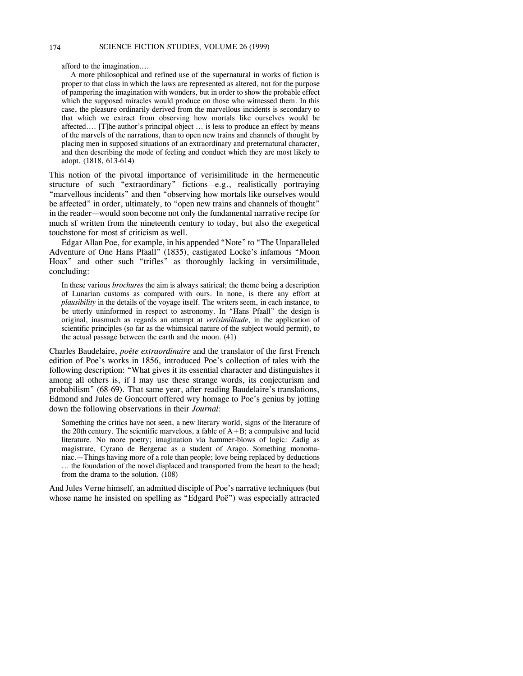afford to the imagination....

A more philosophical and refined use of the supernatural in works of fiction is proper to that class in which the laws are represented as altered, not for the purpose of pampering the imagination with wonders, but in order to show the probable effect which the supposed miracles would produce on those who witnessed them. In this case, the pleasure ordinarily derived from the marvellous incidents is secondary to that which we extract from observing how mortals like ourselves would be affected.... [T]he author's principal object ... is less to produce an effect by means of the marvels of the narrations, than to open new trains and channels of thought by placing men in supposed situations of an extraordinary and preternatural character, and then describing the mode of feeling and conduct which they are most likely to adopt. (1818, 613-614)

This notion of the pivotal importance of verisimilitude in the hermeneutic structure of such "extraordinary" fictions—e.g., realistically portraying "marvellous incidents" and then "observing how mortals like ourselves would be affected" in order, ultimately, to "open new trains and channels of thought" in the reader—would soon become not only the fundamental narrative recipe for much sf written from the nineteenth century to today, but also the exegetical touchstone for most sf criticism as well.

Edgar Allan Poe, for example, in his appended "Note" to "The Unparalleled Adventure of One Hans Pfaall" (1835), castigated Locke's infamous "Moon Hoax" and other such "trifles" as thoroughly lacking in versimilitude, concluding:

In these various *brochures* the aim is always satirical; the theme being a description of Lunarian customs as compared with ours. In none, is there any effort at *plausibility* in the details of the voyage itself. The writers seem, in each instance, to be utterly uninformed in respect to astronomy. In "Hans Pfaall" the design is original, inasmuch as regards an attempt at *verisimilitude*, in the application of scientific principles (so far as the whimsical nature of the subject would permit), to the actual passage between the earth and the moon. (41)

Charles Baudelaire, *poète extraordinaire* and the translator of the first French edition of Poe's works in 1856, introduced Poe's collection of tales with the following description: "What gives it its essential character and distinguishes it among all others is, if I may use these strange words, its conjecturism and probabilism" (68-69). That same year, after reading Baudelaire's translations, Edmond and Jules de Goncourt offered wry homage to Poe's genius by jotting down the following observations in their *Journal*:

Something the critics have not seen, a new literary world, signs of the literature of the 20th century. The scientific marvelous, a fable of  $A + B$ ; a compulsive and lucid literature. No more poetry; imagination via hammer-blows of logic: Zadig as magistrate, Cyrano de Bergerac as a student of Arago. Something monomaniac.—Things having more of a role than people; love being replaced by deductions ... the foundation of the novel displaced and transported from the heart to the head; from the drama to the solution. (108)

And Jules Verne himself, an admitted disciple of Poe's narrative techniques (but whose name he insisted on spelling as "Edgard Poë") was especially attracted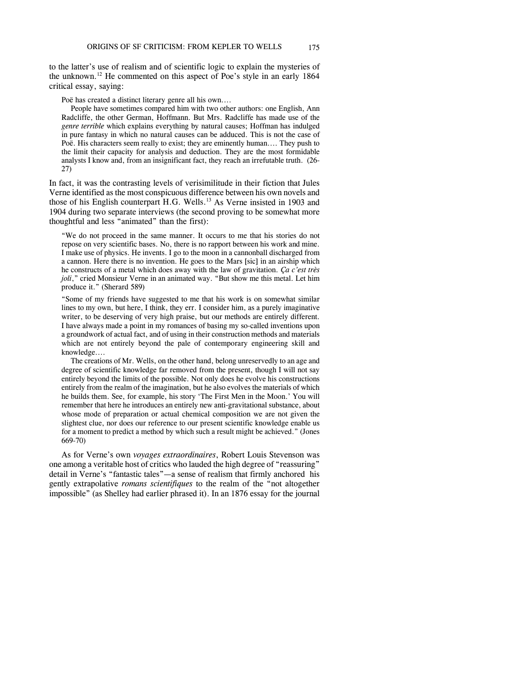to the latter's use of realism and of scientific logic to explain the mysteries of the unknown.12 He commented on this aspect of Poe's style in an early 1864 critical essay, saying:

Poë has created a distinct literary genre all his own....

People have sometimes compared him with two other authors: one English, Ann Radcliffe, the other German, Hoffmann. But Mrs. Radcliffe has made use of the *genre terrible* which explains everything by natural causes; Hoffman has indulged in pure fantasy in which no natural causes can be adduced. This is not the case of Poë. His characters seem really to exist; they are eminently human.... They push to the limit their capacity for analysis and deduction. They are the most formidable analysts I know and, from an insignificant fact, they reach an irrefutable truth. (26- 27)

In fact, it was the contrasting levels of verisimilitude in their fiction that Jules Verne identified as the most conspicuous difference between his own novels and those of his English counterpart H.G. Wells.13 As Verne insisted in 1903 and 1904 during two separate interviews (the second proving to be somewhat more thoughtful and less "animated" than the first):

"We do not proceed in the same manner. It occurs to me that his stories do not repose on very scientific bases. No, there is no rapport between his work and mine. I make use of physics. He invents. I go to the moon in a cannonball discharged from a cannon. Here there is no invention. He goes to the Mars [sic] in an airship which he constructs of a metal which does away with the law of gravitation. *Ça c'est très joli*," cried Monsieur Verne in an animated way. "But show me this metal. Let him produce it." (Sherard 589)

"Some of my friends have suggested to me that his work is on somewhat similar lines to my own, but here, I think, they err. I consider him, as a purely imaginative writer, to be deserving of very high praise, but our methods are entirely different. I have always made a point in my romances of basing my so-called inventions upon a groundwork of actual fact, and of using in their construction methods and materials which are not entirely beyond the pale of contemporary engineering skill and knowledge....

The creations of Mr. Wells, on the other hand, belong unreservedly to an age and degree of scientific knowledge far removed from the present, though I will not say entirely beyond the limits of the possible. Not only does he evolve his constructions entirely from the realm of the imagination, but he also evolves the materials of which he builds them. See, for example, his story 'The First Men in the Moon.' You will remember that here he introduces an entirely new anti-gravitational substance, about whose mode of preparation or actual chemical composition we are not given the slightest clue, nor does our reference to our present scientific knowledge enable us for a moment to predict a method by which such a result might be achieved." (Jones 669-70)

As for Verne's own *voyages extraordinaires*, Robert Louis Stevenson was one among a veritable host of critics who lauded the high degree of "reassuring" detail in Verne's "fantastic tales"—a sense of realism that firmly anchored his gently extrapolative *romans scientifiques* to the realm of the "not altogether impossible" (as Shelley had earlier phrased it). In an 1876 essay for the journal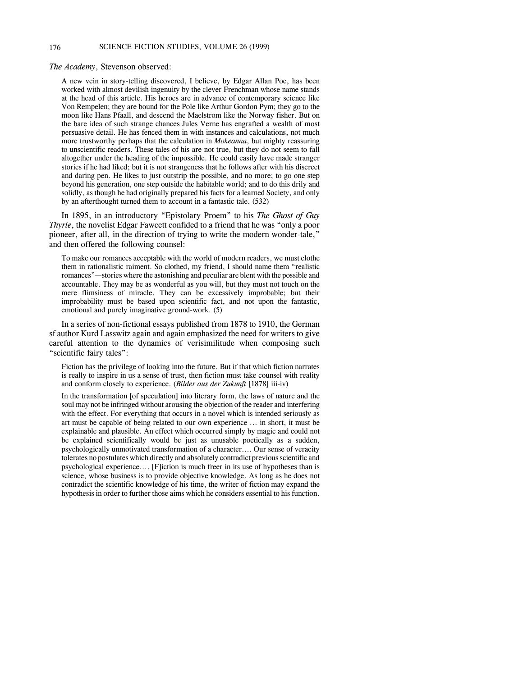#### *The Academy*, Stevenson observed:

A new vein in story-telling discovered, I believe, by Edgar Allan Poe, has been worked with almost devilish ingenuity by the clever Frenchman whose name stands at the head of this article. His heroes are in advance of contemporary science like Von Rempelen; they are bound for the Pole like Arthur Gordon Pym; they go to the moon like Hans Pfaall, and descend the Maelstrom like the Norway fisher. But on the bare idea of such strange chances Jules Verne has engrafted a wealth of most persuasive detail. He has fenced them in with instances and calculations, not much more trustworthy perhaps that the calculation in *Mokeanna*, but mighty reassuring to unscientific readers. These tales of his are not true, but they do not seem to fall altogether under the heading of the impossible. He could easily have made stranger stories if he had liked; but it is not strangeness that he follows after with his discreet and daring pen. He likes to just outstrip the possible, and no more; to go one step beyond his generation, one step outside the habitable world; and to do this drily and solidly, as though he had originally prepared his facts for a learned Society, and only by an afterthought turned them to account in a fantastic tale. (532)

In 1895, in an introductory "Epistolary Proem" to his *The Ghost of Guy Thyrle*, the novelist Edgar Fawcett confided to a friend that he was "only a poor pioneer, after all, in the direction of trying to write the modern wonder-tale," and then offered the following counsel:

To make our romances acceptable with the world of modern readers, we must clothe them in rationalistic raiment. So clothed, my friend, I should name them "realistic romances"—stories where the astonishing and peculiar are blent with the possible and accountable. They may be as wonderful as you will, but they must not touch on the mere flimsiness of miracle. They can be excessively improbable; but their improbability must be based upon scientific fact, and not upon the fantastic, emotional and purely imaginative ground-work. (5)

In a series of non-fictional essays published from 1878 to 1910, the German sf author Kurd Lasswitz again and again emphasized the need for writers to give careful attention to the dynamics of verisimilitude when composing such "scientific fairy tales":

Fiction has the privilege of looking into the future. But if that which fiction narrates is really to inspire in us a sense of trust, then fiction must take counsel with reality and conform closely to experience. (*Bilder aus der Zukunft* [1878] iii-iv)

In the transformation [of speculation] into literary form, the laws of nature and the soul may not be infringed without arousing the objection of the reader and interfering with the effect. For everything that occurs in a novel which is intended seriously as art must be capable of being related to our own experience ... in short, it must be explainable and plausible. An effect which occurred simply by magic and could not be explained scientifically would be just as unusable poetically as a sudden, psychologically unmotivated transformation of a character.... Our sense of veracity tolerates no postulates which directly and absolutely contradict previous scientific and psychological experience.... [F]iction is much freer in its use of hypotheses than is science, whose business is to provide objective knowledge. As long as he does not contradict the scientific knowledge of his time, the writer of fiction may expand the hypothesis in order to further those aims which he considers essential to his function.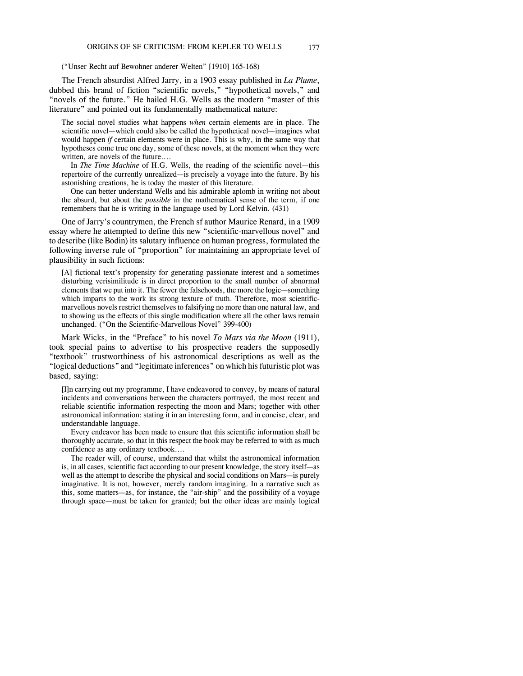("Unser Recht auf Bewohner anderer Welten" [1910] 165-168)

The French absurdist Alfred Jarry, in a 1903 essay published in *La Plume*, dubbed this brand of fiction "scientific novels," "hypothetical novels," and "novels of the future." He hailed H.G. Wells as the modern "master of this literature" and pointed out its fundamentally mathematical nature:

The social novel studies what happens *when* certain elements are in place. The scientific novel—which could also be called the hypothetical novel—imagines what would happen *if* certain elements were in place. This is why, in the same way that hypotheses come true one day, some of these novels, at the moment when they were written, are novels of the future....

In *The Time Machine* of H.G. Wells, the reading of the scientific novel—this repertoire of the currently unrealized—is precisely a voyage into the future. By his astonishing creations, he is today the master of this literature.

One can better understand Wells and his admirable aplomb in writing not about the absurd, but about the *possible* in the mathematical sense of the term, if one remembers that he is writing in the language used by Lord Kelvin. (431)

One of Jarry's countrymen, the French sf author Maurice Renard, in a 1909 essay where he attempted to define this new "scientific-marvellous novel" and to describe (like Bodin) its salutary influence on human progress, formulated the following inverse rule of "proportion" for maintaining an appropriate level of plausibility in such fictions:

[A] fictional text's propensity for generating passionate interest and a sometimes disturbing verisimilitude is in direct proportion to the small number of abnormal elements that we put into it. The fewer the falsehoods, the more the logic—something which imparts to the work its strong texture of truth. Therefore, most scientificmarvellous novels restrict themselves to falsifying no more than one natural law, and to showing us the effects of this single modification where all the other laws remain unchanged. ("On the Scientific-Marvellous Novel" 399-400)

Mark Wicks, in the "Preface" to his novel *To Mars via the Moon* (1911), took special pains to advertise to his prospective readers the supposedly "textbook" trustworthiness of his astronomical descriptions as well as the "logical deductions" and "legitimate inferences" on which his futuristic plot was based, saying:

[I]n carrying out my programme, I have endeavored to convey, by means of natural incidents and conversations between the characters portrayed, the most recent and reliable scientific information respecting the moon and Mars; together with other astronomical information: stating it in an interesting form, and in concise, clear, and understandable language.

Every endeavor has been made to ensure that this scientific information shall be thoroughly accurate, so that in this respect the book may be referred to with as much confidence as any ordinary textbook....

The reader will, of course, understand that whilst the astronomical information is, in all cases, scientific fact according to our present knowledge, the story itself—as well as the attempt to describe the physical and social conditions on Mars—is purely imaginative. It is not, however, merely random imagining. In a narrative such as this, some matters—as, for instance, the "air-ship" and the possibility of a voyage through space—must be taken for granted; but the other ideas are mainly logical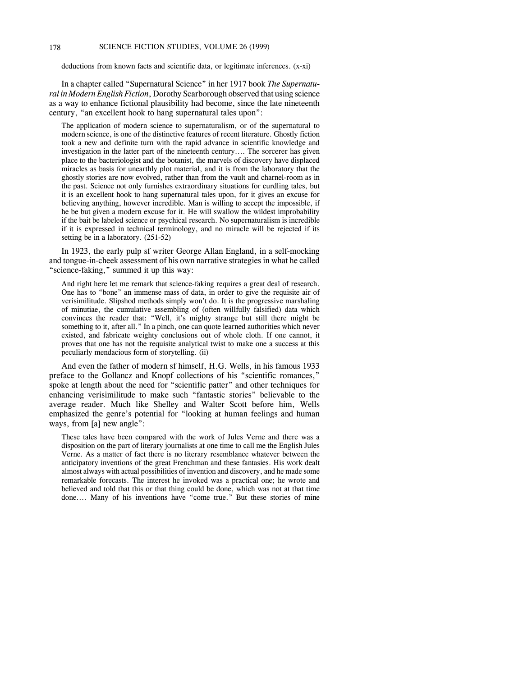deductions from known facts and scientific data, or legitimate inferences. (x-xi)

In a chapter called "Supernatural Science" in her 1917 book *The Supernatural in Modern English Fiction*, Dorothy Scarborough observed that using science as a way to enhance fictional plausibility had become, since the late nineteenth century, "an excellent hook to hang supernatural tales upon":

The application of modern science to supernaturalism, or of the supernatural to modern science, is one of the distinctive features of recent literature. Ghostly fiction took a new and definite turn with the rapid advance in scientific knowledge and investigation in the latter part of the nineteenth century.... The sorcerer has given place to the bacteriologist and the botanist, the marvels of discovery have displaced miracles as basis for unearthly plot material, and it is from the laboratory that the ghostly stories are now evolved, rather than from the vault and charnel-room as in the past. Science not only furnishes extraordinary situations for curdling tales, but it is an excellent hook to hang supernatural tales upon, for it gives an excuse for believing anything, however incredible. Man is willing to accept the impossible, if he be but given a modern excuse for it. He will swallow the wildest improbability if the bait be labeled science or psychical research. No supernaturalism is incredible if it is expressed in technical terminology, and no miracle will be rejected if its setting be in a laboratory. (251-52)

In 1923, the early pulp sf writer George Allan England, in a self-mocking and tongue-in-cheek assessment of his own narrative strategies in what he called "science-faking," summed it up this way:

And right here let me remark that science-faking requires a great deal of research. One has to "bone" an immense mass of data, in order to give the requisite air of verisimilitude. Slipshod methods simply won't do. It is the progressive marshaling of minutiae, the cumulative assembling of (often willfully falsified) data which convinces the reader that: "Well, it's mighty strange but still there might be something to it, after all." In a pinch, one can quote learned authorities which never existed, and fabricate weighty conclusions out of whole cloth. If one cannot, it proves that one has not the requisite analytical twist to make one a success at this peculiarly mendacious form of storytelling. (ii)

And even the father of modern sf himself, H.G. Wells, in his famous 1933 preface to the Gollancz and Knopf collections of his "scientific romances," spoke at length about the need for "scientific patter" and other techniques for enhancing verisimilitude to make such "fantastic stories" believable to the average reader. Much like Shelley and Walter Scott before him, Wells emphasized the genre's potential for "looking at human feelings and human ways, from [a] new angle":

These tales have been compared with the work of Jules Verne and there was a disposition on the part of literary journalists at one time to call me the English Jules Verne. As a matter of fact there is no literary resemblance whatever between the anticipatory inventions of the great Frenchman and these fantasies. His work dealt almost always with actual possibilities of invention and discovery, and he made some remarkable forecasts. The interest he invoked was a practical one; he wrote and believed and told that this or that thing could be done, which was not at that time done.... Many of his inventions have "come true." But these stories of mine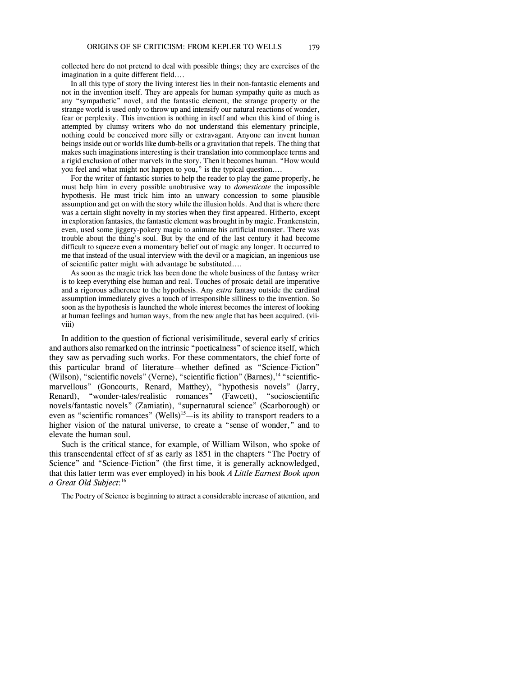collected here do not pretend to deal with possible things; they are exercises of the imagination in a quite different field....

In all this type of story the living interest lies in their non-fantastic elements and not in the invention itself. They are appeals for human sympathy quite as much as any "sympathetic" novel, and the fantastic element, the strange property or the strange world is used only to throw up and intensify our natural reactions of wonder, fear or perplexity. This invention is nothing in itself and when this kind of thing is attempted by clumsy writers who do not understand this elementary principle, nothing could be conceived more silly or extravagant. Anyone can invent human beings inside out or worlds like dumb-bells or a gravitation that repels. The thing that makes such imaginations interesting is their translation into commonplace terms and a rigid exclusion of other marvels in the story. Then it becomes human. "How would you feel and what might not happen to you," is the typical question....

For the writer of fantastic stories to help the reader to play the game properly, he must help him in every possible unobtrusive way to *domesticate* the impossible hypothesis. He must trick him into an unwary concession to some plausible assumption and get on with the story while the illusion holds. And that is where there was a certain slight novelty in my stories when they first appeared. Hitherto, except in exploration fantasies, the fantastic element was brought in by magic. Frankenstein, even, used some jiggery-pokery magic to animate his artificial monster. There was trouble about the thing's soul. But by the end of the last century it had become difficult to squeeze even a momentary belief out of magic any longer. It occurred to me that instead of the usual interview with the devil or a magician, an ingenious use of scientific patter might with advantage be substituted....

As soon as the magic trick has been done the whole business of the fantasy writer is to keep everything else human and real. Touches of prosaic detail are imperative and a rigorous adherence to the hypothesis. Any *extra* fantasy outside the cardinal assumption immediately gives a touch of irresponsible silliness to the invention. So soon as the hypothesis is launched the whole interest becomes the interest of looking at human feelings and human ways, from the new angle that has been acquired. (viiviii)

In addition to the question of fictional verisimilitude, several early sf critics and authors also remarked on the intrinsic "poeticalness" of science itself, which they saw as pervading such works. For these commentators, the chief forte of this particular brand of literature—whether defined as "Science-Fiction" (Wilson), "scientific novels" (Verne), "scientific fiction" (Barnes),  $14$  "scientificmarvellous" (Goncourts, Renard, Matthey), "hypothesis novels" (Jarry, Renard), "wonder-tales/realistic romances" (Fawcett), "socioscientific novels/fantastic novels" (Zamiatin), "supernatural science" (Scarborough) or even as "scientific romances" (Wells)<sup>15</sup>—is its ability to transport readers to a higher vision of the natural universe, to create a "sense of wonder," and to elevate the human soul.

Such is the critical stance, for example, of William Wilson, who spoke of this transcendental effect of sf as early as 1851 in the chapters "The Poetry of Science" and "Science-Fiction" (the first time, it is generally acknowledged, that this latter term was ever employed) in his book *A Little Earnest Book upon a Great Old Subject*: 16

The Poetry of Science is beginning to attract a considerable increase of attention, and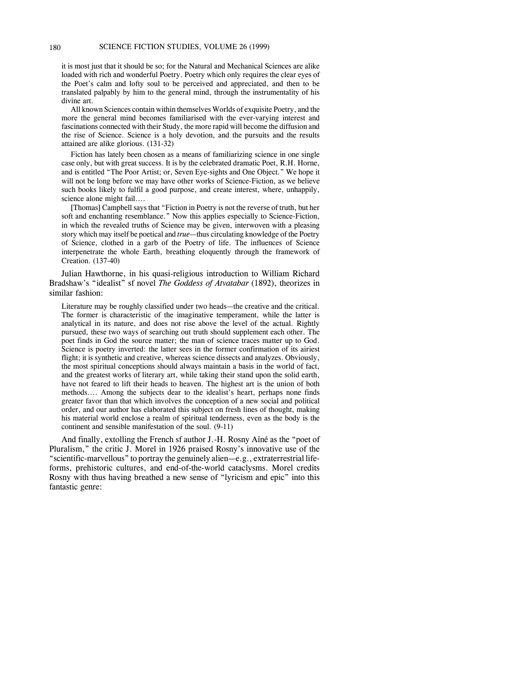it is most just that it should be so; for the Natural and Mechanical Sciences are alike loaded with rich and wonderful Poetry. Poetry which only requires the clear eyes of the Poet's calm and lofty soul to be perceived and appreciated, and then to be translated palpably by him to the general mind, through the instrumentality of his divine art.

All known Sciences contain within themselves Worlds of exquisite Poetry, and the more the general mind becomes familiarised with the ever-varying interest and fascinations connected with their Study, the more rapid will become the diffusion and the rise of Science. Science is a holy devotion, and the pursuits and the results attained are alike glorious. (131-32)

Fiction has lately been chosen as a means of familiarizing science in one single case only, but with great success. It is by the celebrated dramatic Poet, R.H. Horne, and is entitled "The Poor Artist; or, Seven Eye-sights and One Object." We hope it will not be long before we may have other works of Science-Fiction, as we believe such books likely to fulfil a good purpose, and create interest, where, unhappily, science alone might fail....

[Thomas] Campbell says that "Fiction in Poetry is not the reverse of truth, but her soft and enchanting resemblance." Now this applies especially to Science-Fiction, in which the revealed truths of Science may be given, interwoven with a pleasing story which may itself be poetical and *true*—thus circulating knowledge of the Poetry of Science, clothed in a garb of the Poetry of life. The influences of Science interpenetrate the whole Earth, breathing eloquently through the framework of Creation. (137-40)

Julian Hawthorne, in his quasi-religious introduction to William Richard Bradshaw's "idealist" sf novel *The Goddess of Atvatabar* (1892), theorizes in similar fashion:

Literature may be roughly classified under two heads—the creative and the critical. The former is characteristic of the imaginative temperament, while the latter is analytical in its nature, and does not rise above the level of the actual. Rightly pursued, these two ways of searching out truth should supplement each other. The poet finds in God the source matter; the man of science traces matter up to God. Science is poetry inverted: the latter sees in the former confirmation of its airiest flight; it is synthetic and creative, whereas science dissects and analyzes. Obviously, the most spiritual conceptions should always maintain a basis in the world of fact, and the greatest works of literary art, while taking their stand upon the solid earth, have not feared to lift their heads to heaven. The highest art is the union of both methods.... Among the subjects dear to the idealist's heart, perhaps none finds greater favor than that which involves the conception of a new social and political order, and our author has elaborated this subject on fresh lines of thought, making his material world enclose a realm of spiritual tenderness, even as the body is the continent and sensible manifestation of the soul. (9-11)

And finally, extolling the French sf author J.-H. Rosny Aîné as the "poet of Pluralism," the critic J. Morel in 1926 praised Rosny's innovative use of the "scientific-marvellous" to portray the genuinely alien—e.g., extraterrestrial lifeforms, prehistoric cultures, and end-of-the-world cataclysms. Morel credits Rosny with thus having breathed a new sense of "lyricism and epic" into this fantastic genre: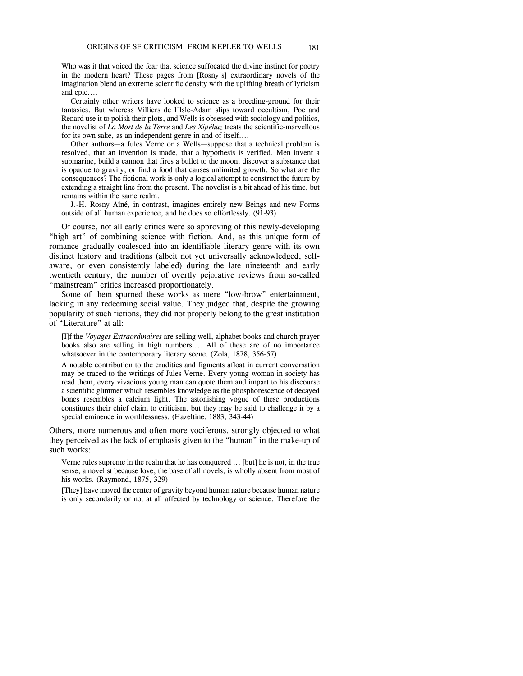Who was it that voiced the fear that science suffocated the divine instinct for poetry in the modern heart? These pages from [Rosny's] extraordinary novels of the imagination blend an extreme scientific density with the uplifting breath of lyricism and epic....

Certainly other writers have looked to science as a breeding-ground for their fantasies. But whereas Villiers de l'Isle-Adam slips toward occultism, Poe and Renard use it to polish their plots, and Wells is obsessed with sociology and politics, the novelist of *La Mort de la Terre* and *Les Xipéhuz* treats the scientific-marvellous for its own sake, as an independent genre in and of itself....

Other authors—a Jules Verne or a Wells—suppose that a technical problem is resolved, that an invention is made, that a hypothesis is verified. Men invent a submarine, build a cannon that fires a bullet to the moon, discover a substance that is opaque to gravity, or find a food that causes unlimited growth. So what are the consequences? The fictional work is only a logical attempt to construct the future by extending a straight line from the present. The novelist is a bit ahead of his time, but remains within the same realm.

J.-H. Rosny Aîné, in contrast, imagines entirely new Beings and new Forms outside of all human experience, and he does so effortlessly. (91-93)

Of course, not all early critics were so approving of this newly-developing "high art" of combining science with fiction. And, as this unique form of romance gradually coalesced into an identifiable literary genre with its own distinct history and traditions (albeit not yet universally acknowledged, selfaware, or even consistently labeled) during the late nineteenth and early twentieth century, the number of overtly pejorative reviews from so-called "mainstream" critics increased proportionately.

Some of them spurned these works as mere "low-brow" entertainment, lacking in any redeeming social value. They judged that, despite the growing popularity of such fictions, they did not properly belong to the great institution of "Literature" at all:

[I]f the *Voyages Extraordinaires* are selling well, alphabet books and church prayer books also are selling in high numbers.... All of these are of no importance whatsoever in the contemporary literary scene. (Zola, 1878, 356-57)

A notable contribution to the crudities and figments afloat in current conversation may be traced to the writings of Jules Verne. Every young woman in society has read them, every vivacious young man can quote them and impart to his discourse a scientific glimmer which resembles knowledge as the phosphorescence of decayed bones resembles a calcium light. The astonishing vogue of these productions constitutes their chief claim to criticism, but they may be said to challenge it by a special eminence in worthlessness. (Hazeltine, 1883, 343-44)

Others, more numerous and often more vociferous, strongly objected to what they perceived as the lack of emphasis given to the "human" in the make-up of such works:

Verne rules supreme in the realm that he has conquered ... [but] he is not, in the true sense, a novelist because love, the base of all novels, is wholly absent from most of his works. (Raymond, 1875, 329)

[They] have moved the center of gravity beyond human nature because human nature is only secondarily or not at all affected by technology or science. Therefore the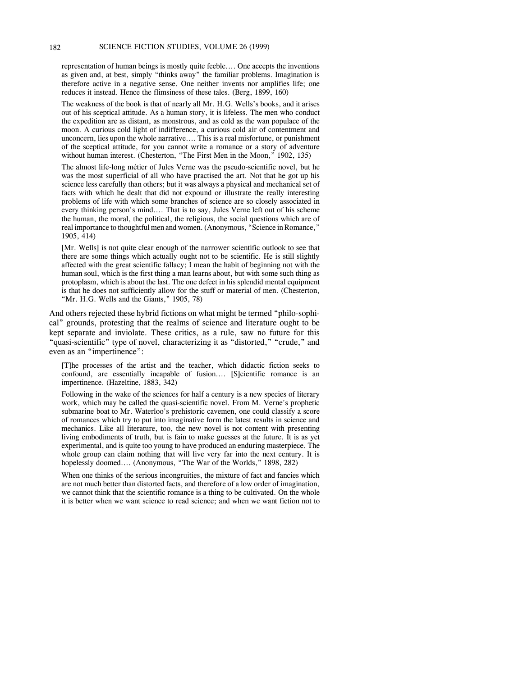representation of human beings is mostly quite feeble.... One accepts the inventions as given and, at best, simply "thinks away" the familiar problems. Imagination is therefore active in a negative sense. One neither invents nor amplifies life; one reduces it instead. Hence the flimsiness of these tales. (Berg, 1899, 160)

The weakness of the book is that of nearly all Mr. H.G. Wells's books, and it arises out of his sceptical attitude. As a human story, it is lifeless. The men who conduct the expedition are as distant, as monstrous, and as cold as the wan populace of the moon. A curious cold light of indifference, a curious cold air of contentment and unconcern, lies upon the whole narrative.... This is a real misfortune, or punishment of the sceptical attitude, for you cannot write a romance or a story of adventure without human interest. (Chesterton, "The First Men in the Moon," 1902, 135)

The almost life-long métier of Jules Verne was the pseudo-scientific novel, but he was the most superficial of all who have practised the art. Not that he got up his science less carefully than others; but it was always a physical and mechanical set of facts with which he dealt that did not expound or illustrate the really interesting problems of life with which some branches of science are so closely associated in every thinking person's mind.... That is to say, Jules Verne left out of his scheme the human, the moral, the political, the religious, the social questions which are of real importance to thoughtful men and women. (Anonymous, "Science in Romance," 1905, 414)

[Mr. Wells] is not quite clear enough of the narrower scientific outlook to see that there are some things which actually ought not to be scientific. He is still slightly affected with the great scientific fallacy; I mean the habit of beginning not with the human soul, which is the first thing a man learns about, but with some such thing as protoplasm, which is about the last. The one defect in his splendid mental equipment is that he does not sufficiently allow for the stuff or material of men. (Chesterton, "Mr. H.G. Wells and the Giants," 1905, 78)

And others rejected these hybrid fictions on what might be termed "philo-sophical" grounds, protesting that the realms of science and literature ought to be kept separate and inviolate. These critics, as a rule, saw no future for this "quasi-scientific" type of novel, characterizing it as "distorted," "crude," and even as an "impertinence":

[T]he processes of the artist and the teacher, which didactic fiction seeks to confound, are essentially incapable of fusion.... [S]cientific romance is an impertinence. (Hazeltine, 1883, 342)

Following in the wake of the sciences for half a century is a new species of literary work, which may be called the quasi-scientific novel. From M. Verne's prophetic submarine boat to Mr. Waterloo's prehistoric cavemen, one could classify a score of romances which try to put into imaginative form the latest results in science and mechanics. Like all literature, too, the new novel is not content with presenting living embodiments of truth, but is fain to make guesses at the future. It is as yet experimental, and is quite too young to have produced an enduring masterpiece. The whole group can claim nothing that will live very far into the next century. It is hopelessly doomed.... (Anonymous, "The War of the Worlds," 1898, 282)

When one thinks of the serious incongruities, the mixture of fact and fancies which are not much better than distorted facts, and therefore of a low order of imagination, we cannot think that the scientific romance is a thing to be cultivated. On the whole it is better when we want science to read science; and when we want fiction not to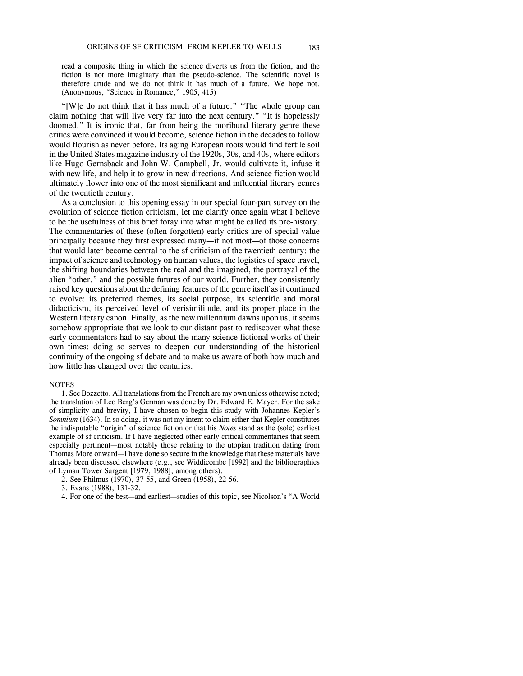read a composite thing in which the science diverts us from the fiction, and the fiction is not more imaginary than the pseudo-science. The scientific novel is therefore crude and we do not think it has much of a future. We hope not. (Anonymous, "Science in Romance," 1905, 415)

"[W]e do not think that it has much of a future." "The whole group can claim nothing that will live very far into the next century." "It is hopelessly doomed." It is ironic that, far from being the moribund literary genre these critics were convinced it would become, science fiction in the decades to follow would flourish as never before. Its aging European roots would find fertile soil in the United States magazine industry of the 1920s, 30s, and 40s, where editors like Hugo Gernsback and John W. Campbell, Jr. would cultivate it, infuse it with new life, and help it to grow in new directions. And science fiction would ultimately flower into one of the most significant and influential literary genres of the twentieth century.

As a conclusion to this opening essay in our special four-part survey on the evolution of science fiction criticism, let me clarify once again what I believe to be the usefulness of this brief foray into what might be called its pre-history. The commentaries of these (often forgotten) early critics are of special value principally because they first expressed many—if not most—of those concerns that would later become central to the sf criticism of the twentieth century: the impact of science and technology on human values, the logistics of space travel, the shifting boundaries between the real and the imagined, the portrayal of the alien "other," and the possible futures of our world. Further, they consistently raised key questions about the defining features of the genre itself as it continued to evolve: its preferred themes, its social purpose, its scientific and moral didacticism, its perceived level of verisimilitude, and its proper place in the Western literary canon. Finally, as the new millennium dawns upon us, it seems somehow appropriate that we look to our distant past to rediscover what these early commentators had to say about the many science fictional works of their own times: doing so serves to deepen our understanding of the historical continuity of the ongoing sf debate and to make us aware of both how much and how little has changed over the centuries.

#### NOTES

1. See Bozzetto. All translations from the French are my own unless otherwise noted; the translation of Leo Berg's German was done by Dr. Edward E. Mayer. For the sake of simplicity and brevity, I have chosen to begin this study with Johannes Kepler's *Somnium* (1634). In so doing, it was not my intent to claim either that Kepler constitutes the indisputable "origin" of science fiction or that his *Notes* stand as the (sole) earliest example of sf criticism. If I have neglected other early critical commentaries that seem especially pertinent—most notably those relating to the utopian tradition dating from Thomas More onward—I have done so secure in the knowledge that these materials have already been discussed elsewhere (e.g., see Widdicombe [1992] and the bibliographies of Lyman Tower Sargent [1979, 1988], among others).

2. See Philmus (1970), 37-55, and Green (1958), 22-56.

3. Evans (1988), 131-32.

4. For one of the best—and earliest—studies of this topic, see Nicolson's "A World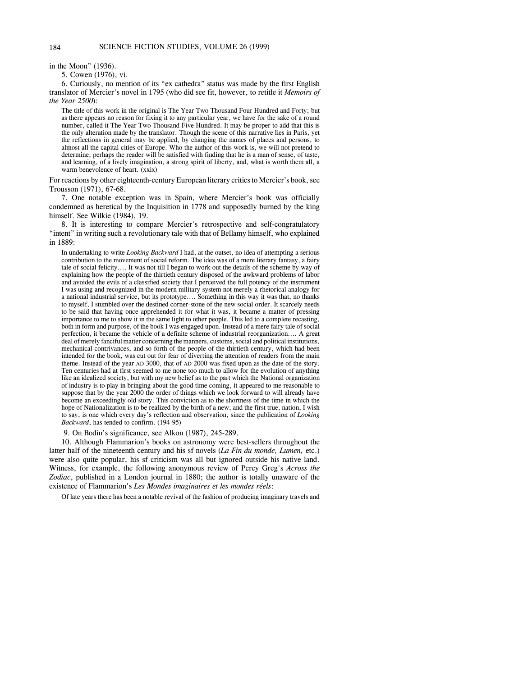in the Moon" (1936).

5. Cowen (1976), vi.

6. Curiously, no mention of its "ex cathedra" status was made by the first English translator of Mercier's novel in 1795 (who did see fit, however, to retitle it *Memoirs of the Year 2500*):

 The title of this work in the original is The Year Two Thousand Four Hundred and Forty; but as there appears no reason for fixing it to any particular year, we have for the sake of a round number, called it The Year Two Thousand Five Hundred. It may be proper to add that this is the only alteration made by the translator. Though the scene of this narrative lies in Paris, yet the reflections in general may be applied, by changing the names of places and persons, to almost all the capital cities of Europe. Who the author of this work is, we will not pretend to determine; perhaps the reader will be satisfied with finding that he is a man of sense, of taste, and learning, of a lively imagination, a strong spirit of liberty, and, what is worth them all, a warm benevolence of heart. (xxix)

For reactions by other eighteenth-century European literary critics to Mercier's book, see Trousson (1971), 67-68.

7. One notable exception was in Spain, where Mercier's book was officially condemned as heretical by the Inquisition in 1778 and supposedly burned by the king himself. See Wilkie (1984), 19.

8. It is interesting to compare Mercier's retrospective and self-congratulatory "intent" in writing such a revolutionary tale with that of Bellamy himself, who explained in 1889:

In undertaking to write *Looking Backward* I had, at the outset, no idea of attempting a serious contribution to the movement of social reform. The idea was of a mere literary fantasy, a fairy tale of social felicity.... It was not till I began to work out the details of the scheme by way of explaining how the people of the thirtieth century disposed of the awkward problems of labor and avoided the evils of a classified society that I perceived the full potency of the instrument I was using and recognized in the modern military system not merely a rhetorical analogy for a national industrial service, but its prototype.... Something in this way it was that, no thanks to myself, I stumbled over the destined corner-stone of the new social order. It scarcely needs to be said that having once apprehended it for what it was, it became a matter of pressing importance to me to show it in the same light to other people. This led to a complete recasting, both in form and purpose, of the book I was engaged upon. Instead of a mere fairy tale of social perfection, it became the vehicle of a definite scheme of industrial reorganization.... A great deal of merely fanciful matter concerning the manners, customs, social and political institutions, mechanical contrivances, and so forth of the people of the thirtieth century, which had been intended for the book, was cut out for fear of diverting the attention of readers from the main theme. Instead of the year AD 3000, that of AD 2000 was fixed upon as the date of the story. Ten centuries had at first seemed to me none too much to allow for the evolution of anything like an idealized society, but with my new belief as to the part which the National organization of industry is to play in bringing about the good time coming, it appeared to me reasonable to suppose that by the year 2000 the order of things which we look forward to will already have become an exceedingly old story. This conviction as to the shortness of the time in which the hope of Nationalization is to be realized by the birth of a new, and the first true, nation, I wish to say, is one which every day's reflection and observation, since the publication of *Looking Backward*, has tended to confirm. (194-95)

9. On Bodin's significance, see Alkon (1987), 245-289.

10. Although Flammarion's books on astronomy were best-sellers throughout the latter half of the nineteenth century and his sf novels (*La Fin du monde, Lumen,* etc.) were also quite popular, his sf criticism was all but ignored outside his native land. Witness, for example, the following anonymous review of Percy Greg's *Across the Zodiac*, published in a London journal in 1880; the author is totally unaware of the existence of Flammarion's *Les Mondes imaginaires et les mondes réels*:

Of late years there has been a notable revival of the fashion of producing imaginary travels and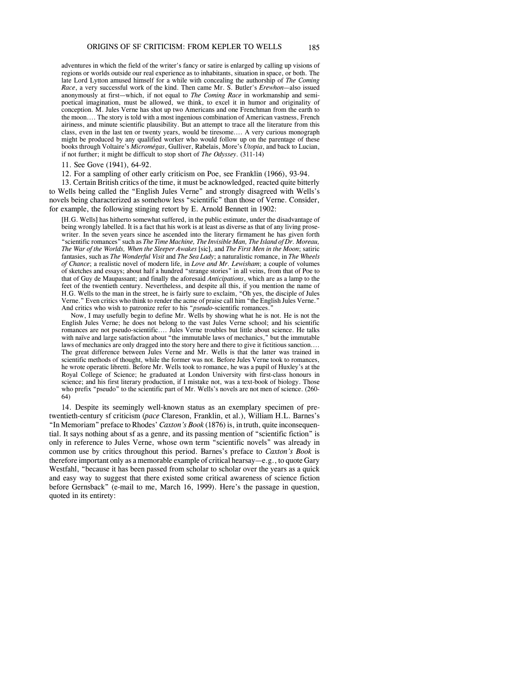adventures in which the field of the writer's fancy or satire is enlarged by calling up visions of regions or worlds outside our real experience as to inhabitants, situation in space, or both. The late Lord Lytton amused himself for a while with concealing the authorship of *The Coming Race*, a very successful work of the kind. Then came Mr. S. Butler's *Erewhon*—also issued anonymously at first—which, if not equal to *The Coming Race* in workmanship and semipoetical imagination, must be allowed, we think, to excel it in humor and originality of conception. M. Jules Verne has shot up two Americans and one Frenchman from the earth to the moon.... The story is told with a most ingenious combination of American vastness, French airiness, and minute scientific plausibility. But an attempt to trace all the literature from this class, even in the last ten or twenty years, would be tiresome.... A very curious monograph might be produced by any qualified worker who would follow up on the parentage of these books through Voltaire's *Micromégas*, Gulliver, Rabelais, More's *Utopia*, and back to Lucian, if not further; it might be difficult to stop short of *The Odyssey*. (311-14)

11. See Gove (1941), 64-92.

12. For a sampling of other early criticism on Poe, see Franklin (1966), 93-94.

13. Certain British critics of the time, it must be acknowledged, reacted quite bitterly to Wells being called the "English Jules Verne" and strongly disagreed with Wells's novels being characterized as somehow less "scientific" than those of Verne. Consider, for example, the following stinging retort by E. Arnold Bennett in 1902:

[H.G. Wells] has hitherto somewhat suffered, in the public estimate, under the disadvantage of being wrongly labelled. It is a fact that his work is at least as diverse as that of any living prosewriter. In the seven years since he ascended into the literary firmament he has given forth "scientific romances" such as *The Time Machine, The Invisible Man, The Island of Dr. Moreau, The War of the Worlds, When the Sleeper Awakes* [sic], and *The First Men in the Moon*; satiric fantasies, such as *The Wonderful Visit* and *The Sea Lady*; a naturalistic romance, in *The Wheels of Chance*; a realistic novel of modern life, in *Love and Mr. Lewisham*; a couple of volumes of sketches and essays; about half a hundred "strange stories" in all veins, from that of Poe to that of Guy de Maupassant; and finally the aforesaid *Anticipations*, which are as a lamp to the feet of the twentieth century. Nevertheless, and despite all this, if you mention the name of H.G. Wells to the man in the street, he is fairly sure to exclaim, "Oh yes, the disciple of Jules Verne." Even critics who think to render the acme of praise call him "the English Jules Verne." And critics who wish to patronize refer to his "*pseudo*-scientific romances."

Now, I may usefully begin to define Mr. Wells by showing what he is not. He is not the English Jules Verne; he does not belong to the vast Jules Verne school; and his scientific romances are not pseudo-scientific.... Jules Verne troubles but little about science. He talks with naïve and large satisfaction about "the immutable laws of mechanics," but the immutable laws of mechanics are only dragged into the story here and there to give it fictitious sanction.... The great difference between Jules Verne and Mr. Wells is that the latter was trained in scientific methods of thought, while the former was not. Before Jules Verne took to romances, he wrote operatic libretti. Before Mr. Wells took to romance, he was a pupil of Huxley's at the Royal College of Science; he graduated at London University with first-class honours in science; and his first literary production, if I mistake not, was a text-book of biology. Those who prefix "pseudo" to the scientific part of Mr. Wells's novels are not men of science. (260- 64)

14. Despite its seemingly well-known status as an exemplary specimen of pretwentieth-century sf criticism (*pace* Clareson, Franklin, et al.), William H.L. Barnes's "In Memoriam" preface to Rhodes' *Caxton's Book* (1876) is, in truth, quite inconsequential. It says nothing about sf as a genre, and its passing mention of "scientific fiction" is only in reference to Jules Verne, whose own term "scientific novels" was already in common use by critics throughout this period. Barnes's preface to *Caxton's Book* is therefore important only as a memorable example of critical hearsay—e.g., to quote Gary Westfahl, "because it has been passed from scholar to scholar over the years as a quick and easy way to suggest that there existed some critical awareness of science fiction before Gernsback" (e-mail to me, March 16, 1999). Here's the passage in question, quoted in its entirety: